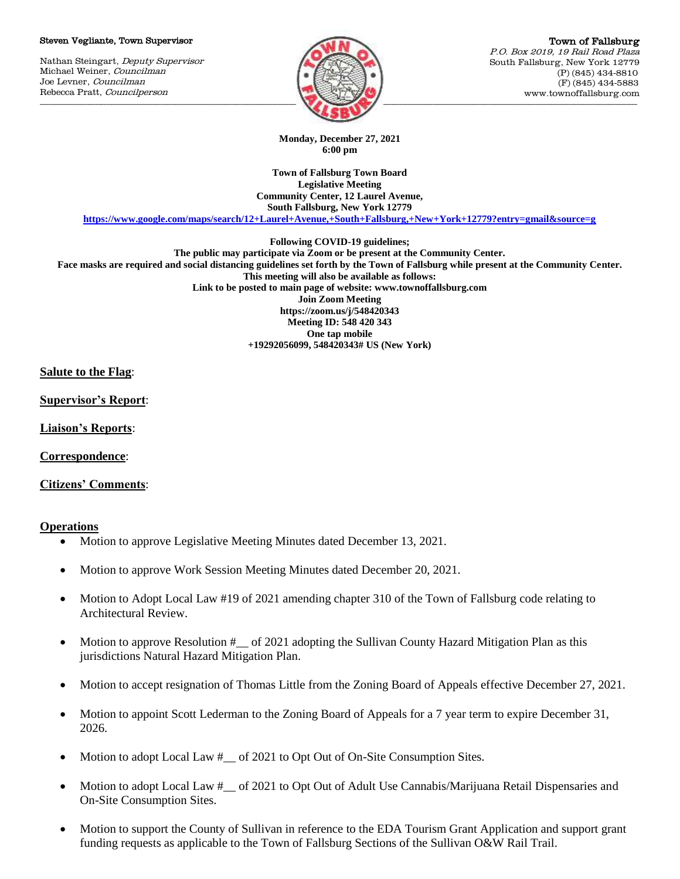#### Steven Vegliante, Town Supervisor

Nathan Steingart, Deputy Supervisor Michael Weiner, Councilman Joe Levner, Councilman Rebecca Pratt, Councilperson



Town of Fallsburg P.O. Box 2019, 19 Rail Road Plaza South Fallsburg, New York 12779 (P) (845) 434-8810 (F) (845) 434-5883 www.townoffallsburg.com

**Monday, December 27, 2021 6:00 pm**

**Town of Fallsburg Town Board Legislative Meeting Community Center, 12 Laurel Avenue, South Fallsburg, New York 12779**

**<https://www.google.com/maps/search/12+Laurel+Avenue,+South+Fallsburg,+New+York+12779?entry=gmail&source=g>**

**Following COVID-19 guidelines;**

**The public may participate via Zoom or be present at the Community Center. Face masks are required and social distancing guidelines set forth by the Town of Fallsburg while present at the Community Center. This meeting will also be available as follows: Link to be posted to main page of website: www.townoffallsburg.com Join Zoom Meeting https://zoom.us/j/548420343 Meeting ID: 548 420 343 One tap mobile +19292056099, 548420343# US (New York)**

## **Salute to the Flag**:

**Supervisor's Report**:

**Liaison's Reports**:

**Correspondence**:

**Citizens' Comments**:

## **Operations**

- Motion to approve Legislative Meeting Minutes dated December 13, 2021.
- Motion to approve Work Session Meeting Minutes dated December 20, 2021.
- Motion to Adopt Local Law #19 of 2021 amending chapter 310 of the Town of Fallsburg code relating to Architectural Review.
- Motion to approve Resolution # \_\_ of 2021 adopting the Sullivan County Hazard Mitigation Plan as this jurisdictions Natural Hazard Mitigation Plan.
- Motion to accept resignation of Thomas Little from the Zoning Board of Appeals effective December 27, 2021.
- Motion to appoint Scott Lederman to the Zoning Board of Appeals for a 7 year term to expire December 31, 2026.
- Motion to adopt Local Law #\_\_ of 2021 to Opt Out of On-Site Consumption Sites.
- Motion to adopt Local Law #\_\_ of 2021 to Opt Out of Adult Use Cannabis/Marijuana Retail Dispensaries and On-Site Consumption Sites.
- Motion to support the County of Sullivan in reference to the EDA Tourism Grant Application and support grant funding requests as applicable to the Town of Fallsburg Sections of the Sullivan O&W Rail Trail.